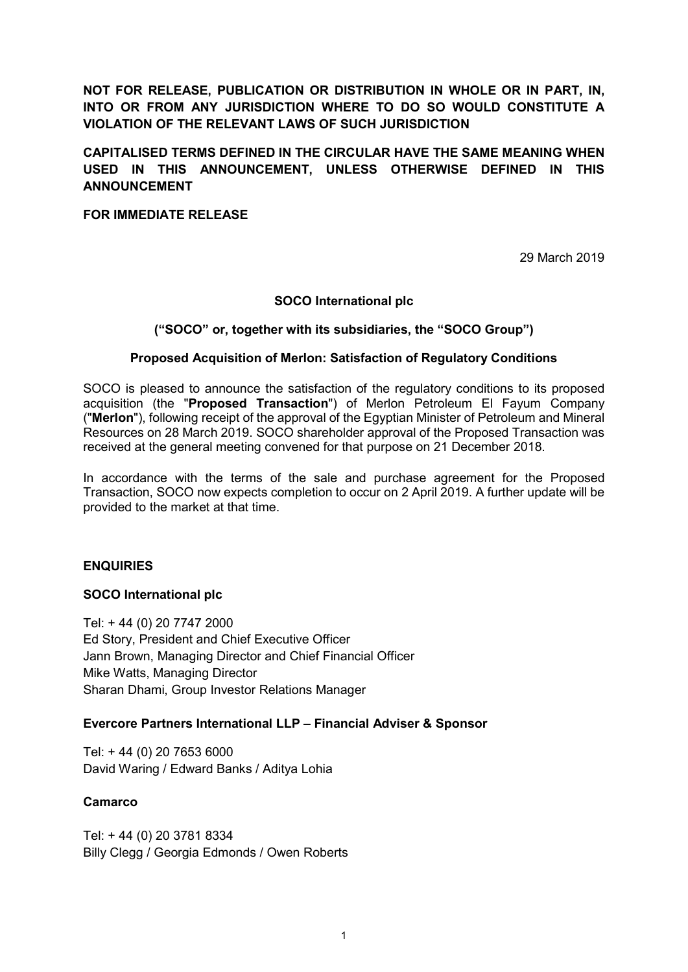NOT FOR RELEASE, PUBLICATION OR DISTRIBUTION IN WHOLE OR IN PART, IN, INTO OR FROM ANY JURISDICTION WHERE TO DO SO WOULD CONSTITUTE A VIOLATION OF THE RELEVANT LAWS OF SUCH JURISDICTION

# CAPITALISED TERMS DEFINED IN THE CIRCULAR HAVE THE SAME MEANING WHEN USED IN THIS ANNOUNCEMENT, UNLESS OTHERWISE DEFINED IN THIS ANNOUNCEMENT

### FOR IMMEDIATE RELEASE

29 March 2019

### SOCO International plc

### ("SOCO" or, together with its subsidiaries, the "SOCO Group")

### Proposed Acquisition of Merlon: Satisfaction of Regulatory Conditions

SOCO is pleased to announce the satisfaction of the regulatory conditions to its proposed acquisition (the "Proposed Transaction") of Merlon Petroleum El Fayum Company ("Merlon"), following receipt of the approval of the Egyptian Minister of Petroleum and Mineral Resources on 28 March 2019. SOCO shareholder approval of the Proposed Transaction was received at the general meeting convened for that purpose on 21 December 2018.

In accordance with the terms of the sale and purchase agreement for the Proposed Transaction, SOCO now expects completion to occur on 2 April 2019. A further update will be provided to the market at that time.

#### **ENQUIRIES**

#### SOCO International plc

Tel: + 44 (0) 20 7747 2000 Ed Story, President and Chief Executive Officer Jann Brown, Managing Director and Chief Financial Officer Mike Watts, Managing Director Sharan Dhami, Group Investor Relations Manager

#### Evercore Partners International LLP – Financial Adviser & Sponsor

Tel: + 44 (0) 20 7653 6000 David Waring / Edward Banks / Aditya Lohia

#### **Camarco**

Tel: + 44 (0) 20 3781 8334 Billy Clegg / Georgia Edmonds / Owen Roberts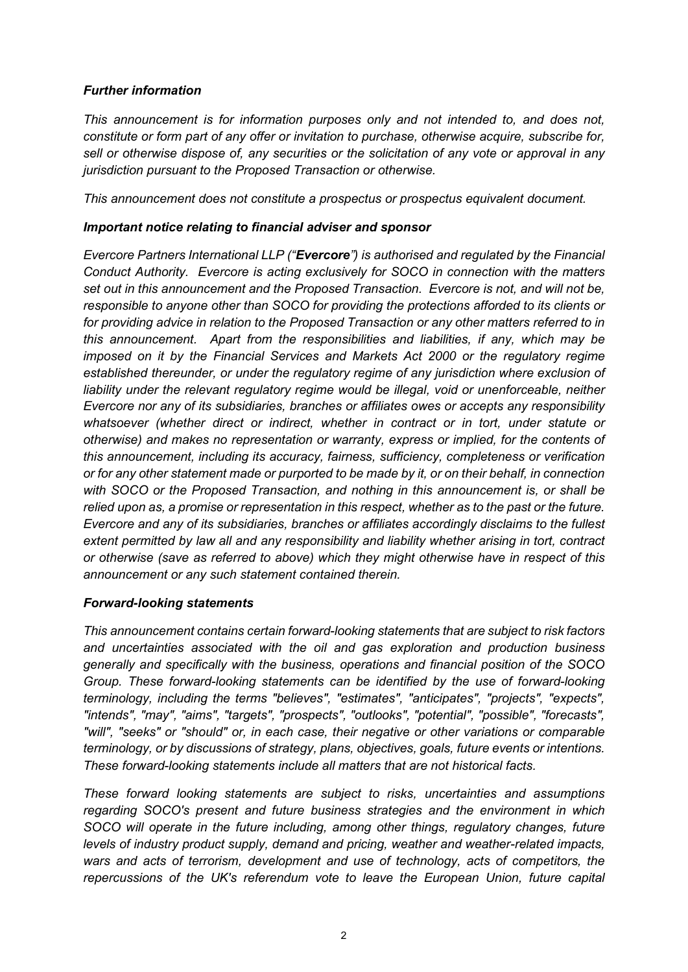## Further information

This announcement is for information purposes only and not intended to, and does not, constitute or form part of any offer or invitation to purchase, otherwise acquire, subscribe for, sell or otherwise dispose of, any securities or the solicitation of any vote or approval in any jurisdiction pursuant to the Proposed Transaction or otherwise.

This announcement does not constitute a prospectus or prospectus equivalent document.

## Important notice relating to financial adviser and sponsor

Evercore Partners International LLP ("Evercore") is authorised and requiated by the Financial Conduct Authority. Evercore is acting exclusively for SOCO in connection with the matters set out in this announcement and the Proposed Transaction. Evercore is not, and will not be, responsible to anyone other than SOCO for providing the protections afforded to its clients or for providing advice in relation to the Proposed Transaction or any other matters referred to in this announcement. Apart from the responsibilities and liabilities, if any, which may be imposed on it by the Financial Services and Markets Act 2000 or the regulatory regime established thereunder, or under the regulatory regime of any jurisdiction where exclusion of liability under the relevant regulatory regime would be illegal, void or unenforceable, neither Evercore nor any of its subsidiaries, branches or affiliates owes or accepts any responsibility whatsoever (whether direct or indirect, whether in contract or in tort, under statute or otherwise) and makes no representation or warranty, express or implied, for the contents of this announcement, including its accuracy, fairness, sufficiency, completeness or verification or for any other statement made or purported to be made by it, or on their behalf, in connection with SOCO or the Proposed Transaction, and nothing in this announcement is, or shall be relied upon as, a promise or representation in this respect, whether as to the past or the future. Evercore and any of its subsidiaries, branches or affiliates accordingly disclaims to the fullest extent permitted by law all and any responsibility and liability whether arising in tort, contract or otherwise (save as referred to above) which they might otherwise have in respect of this announcement or any such statement contained therein.

## Forward-looking statements

This announcement contains certain forward-looking statements that are subject to risk factors and uncertainties associated with the oil and gas exploration and production business generally and specifically with the business, operations and financial position of the SOCO Group. These forward-looking statements can be identified by the use of forward-looking terminology, including the terms "believes", "estimates", "anticipates", "projects", "expects", "intends", "may", "aims", "targets", "prospects", "outlooks", "potential", "possible", "forecasts", "will", "seeks" or "should" or, in each case, their negative or other variations or comparable terminology, or by discussions of strategy, plans, objectives, goals, future events or intentions. These forward-looking statements include all matters that are not historical facts.

These forward looking statements are subject to risks, uncertainties and assumptions regarding SOCO's present and future business strategies and the environment in which SOCO will operate in the future including, among other things, regulatory changes, future levels of industry product supply, demand and pricing, weather and weather-related impacts, wars and acts of terrorism, development and use of technology, acts of competitors, the repercussions of the UK's referendum vote to leave the European Union, future capital